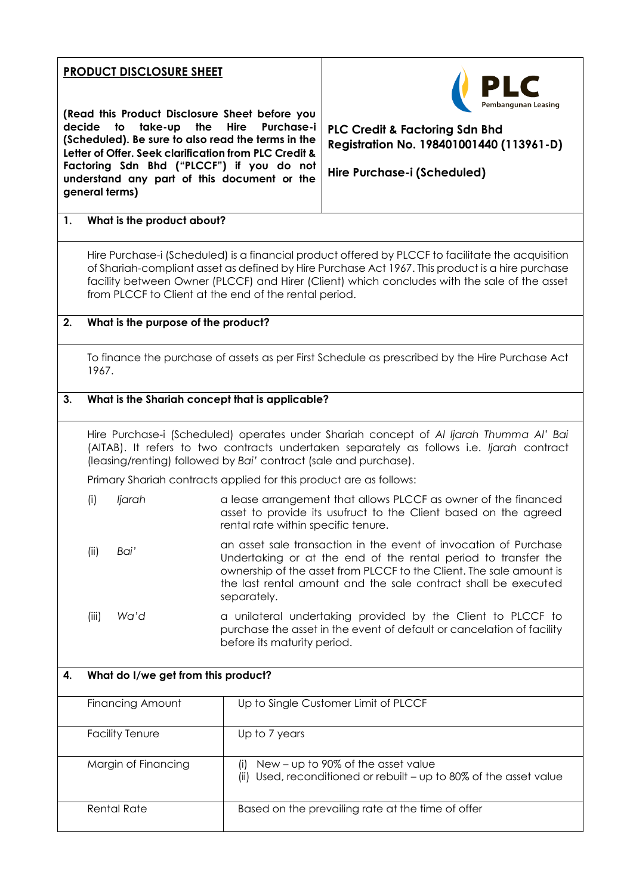## **PRODUCT DISCLOSURE SHEET**

**(Read this Product Disclosure Sheet before you decide to take-up the Hire Purchase-i (Scheduled). Be sure to also read the terms in the Letter of Offer. Seek clarification from PLC Credit & Factoring Sdn Bhd ("PLCCF") if you do not understand any part of this document or the general terms)**



**PLC Credit & Factoring Sdn Bhd Registration No. 198401001440 (113961-D)**

**Hire Purchase-i (Scheduled)**

## **1. What is the product about?**

Hire Purchase-i (Scheduled) is a financial product offered by PLCCF to facilitate the acquisition of Shariah-compliant asset as defined by Hire Purchase Act 1967. This product is a hire purchase facility between Owner (PLCCF) and Hirer (Client) which concludes with the sale of the asset from PLCCF to Client at the end of the rental period.

#### **2. What is the purpose of the product?**

To finance the purchase of assets as per First Schedule as prescribed by the Hire Purchase Act 1967.

#### **3. What is the Shariah concept that is applicable?**

Hire Purchase-i (Scheduled) operates under Shariah concept of *Al Ijarah Thumma Al' Bai* (AITAB). It refers to two contracts undertaken separately as follows i.e. *Ijarah* contract (leasing/renting) followed by *Bai'* contract (sale and purchase).

Primary Shariah contracts applied for this product are as follows:

- (i) *Ijarah* a lease arrangement that allows PLCCF as owner of the financed asset to provide its usufruct to the Client based on the agreed rental rate within specific tenure.
- (ii) *Bai'* an asset sale transaction in the event of invocation of Purchase Undertaking or at the end of the rental period to transfer the ownership of the asset from PLCCF to the Client. The sale amount is the last rental amount and the sale contract shall be executed separately.
- (iii) *Wa'd* a unilateral undertaking provided by the Client to PLCCF to purchase the asset in the event of default or cancelation of facility before its maturity period.

# **4. What do I/we get from this product?** Financing Amount Up to Single Customer Limit of PLCCF Facility Tenure **Up to 7 years** Margin of Financing  $\vert$  (i) New – up to 90% of the asset value (ii) Used, reconditioned or rebuilt – up to 80% of the asset value Rental Rate **Based on the prevailing rate at the time of offer**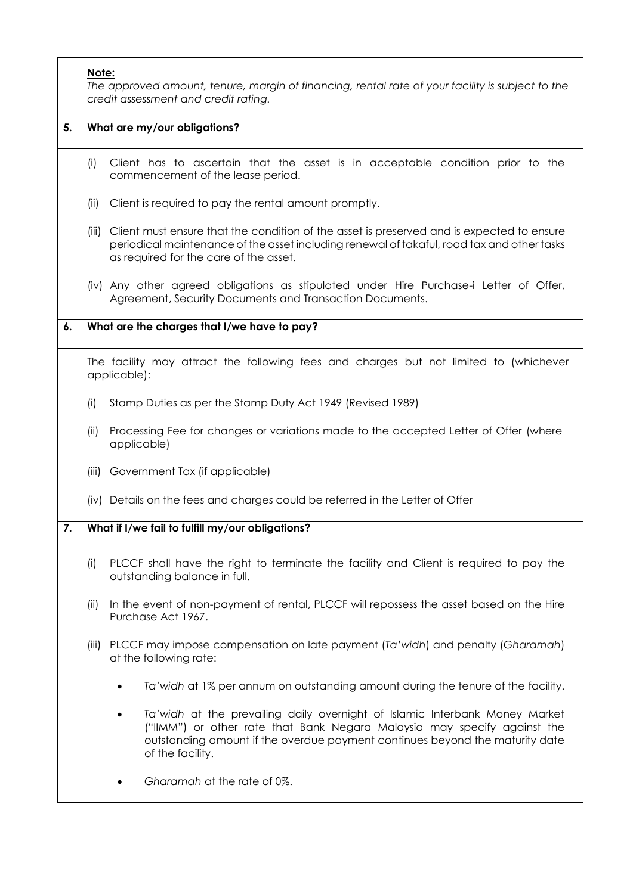## **Note:**

*The approved amount, tenure, margin of financing, rental rate of your facility is subject to the credit assessment and credit rating.*

## **5. What are my/our obligations?**

- (i) Client has to ascertain that the asset is in acceptable condition prior to the commencement of the lease period.
- (ii) Client is required to pay the rental amount promptly.
- (iii) Client must ensure that the condition of the asset is preserved and is expected to ensure periodical maintenance of the asset including renewal of takaful, road tax and other tasks as required for the care of the asset.
- (iv) Any other agreed obligations as stipulated under Hire Purchase-i Letter of Offer, Agreement, Security Documents and Transaction Documents.

#### **6. What are the charges that I/we have to pay?**

The facility may attract the following fees and charges but not limited to (whichever applicable):

- (i) Stamp Duties as per the Stamp Duty Act 1949 (Revised 1989)
- (ii) Processing Fee for changes or variations made to the accepted Letter of Offer (where applicable)
- (iii) Government Tax (if applicable)
- (iv) Details on the fees and charges could be referred in the Letter of Offer

## **7. What if I/we fail to fulfill my/our obligations?**

- (i) PLCCF shall have the right to terminate the facility and Client is required to pay the outstanding balance in full.
- (ii) In the event of non-payment of rental, PLCCF will repossess the asset based on the Hire Purchase Act 1967.
- (iii) PLCCF may impose compensation on late payment (*Ta'widh*) and penalty (*Gharamah*) at the following rate:
	- *Ta'widh* at 1% per annum on outstanding amount during the tenure of the facility.
	- *Ta'widh* at the prevailing daily overnight of Islamic Interbank Money Market ("IIMM") or other rate that Bank Negara Malaysia may specify against the outstanding amount if the overdue payment continues beyond the maturity date of the facility.
	- *Gharamah* at the rate of 0%.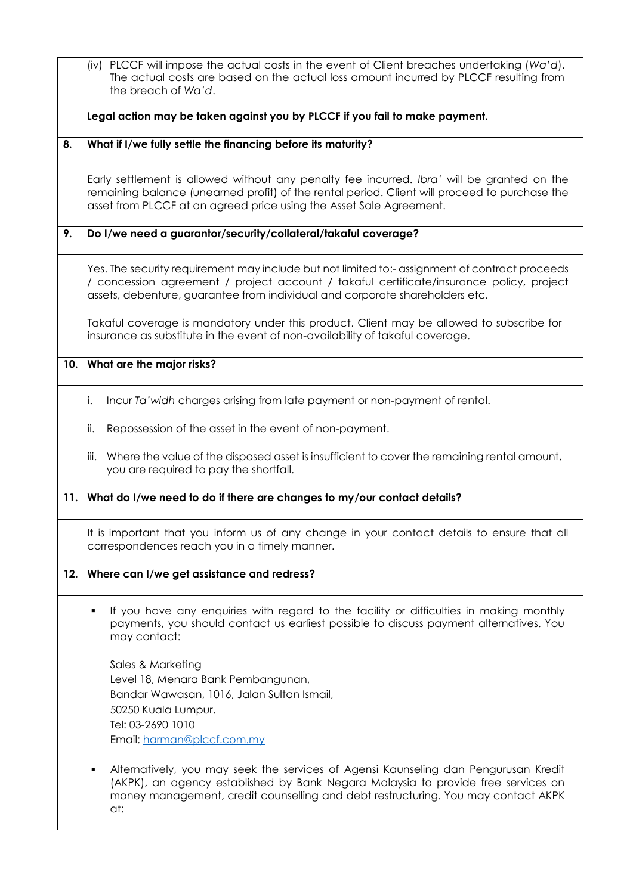(iv) PLCCF will impose the actual costs in the event of Client breaches undertaking (*Wa'd*). The actual costs are based on the actual loss amount incurred by PLCCF resulting from the breach of *Wa'd*.

**Legal action may be taken against you by PLCCF if you fail to make payment.** 

**8. What if I/we fully settle the financing before its maturity?**

Early settlement is allowed without any penalty fee incurred. *Ibra'* will be granted on the remaining balance (unearned profit) of the rental period. Client will proceed to purchase the asset from PLCCF at an agreed price using the Asset Sale Agreement.

## **9. Do I/we need a guarantor/security/collateral/takaful coverage?**

Yes. The security requirement may include but not limited to:- assignment of contract proceeds / concession agreement / project account / takaful certificate/insurance policy, project assets, debenture, guarantee from individual and corporate shareholders etc.

Takaful coverage is mandatory under this product. Client may be allowed to subscribe for insurance as substitute in the event of non-availability of takaful coverage.

#### **10. What are the major risks?**

- i. Incur *Ta'widh* charges arising from late payment or non-payment of rental.
- ii. Repossession of the asset in the event of non-payment.
- iii. Where the value of the disposed asset is insufficient to cover the remaining rental amount, you are required to pay the shortfall.

#### **11. What do I/we need to do if there are changes to my/our contact details?**

It is important that you inform us of any change in your contact details to ensure that all correspondences reach you in a timely manner.

#### **12. Where can I/we get assistance and redress?**

 If you have any enquiries with regard to the facility or difficulties in making monthly payments, you should contact us earliest possible to discuss payment alternatives. You may contact:

Sales & Marketing Level 18, Menara Bank Pembangunan, Bandar Wawasan, 1016, Jalan Sultan Ismail, 50250 Kuala Lumpur. Tel: 03-2690 1010 Email: [harman@plccf.com.my](mailto:harman@plccf.com.my) 

 Alternatively, you may seek the services of Agensi Kaunseling dan Pengurusan Kredit (AKPK), an agency established by Bank Negara Malaysia to provide free services on money management, credit counselling and debt restructuring. You may contact AKPK at: